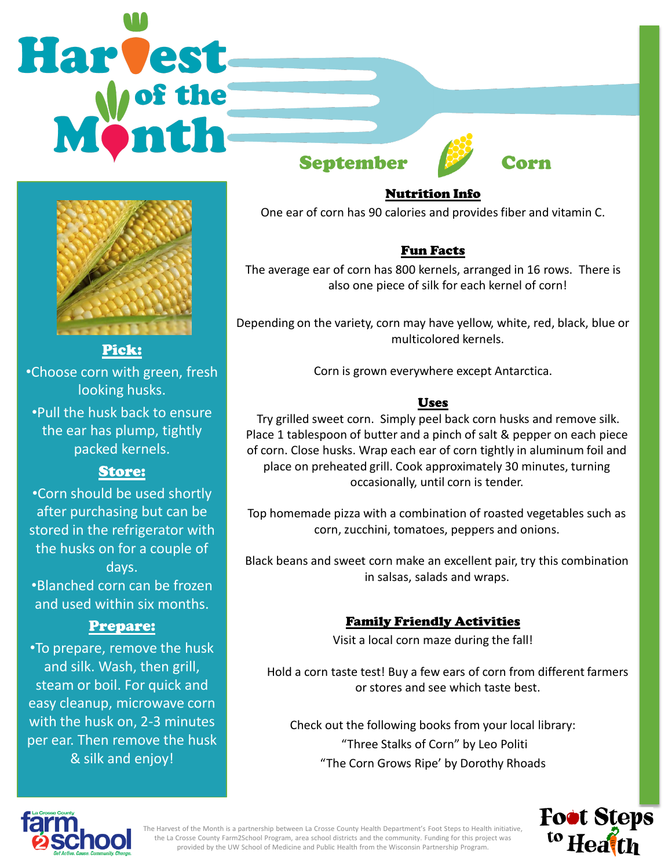# **Harvest**

Pick: •Choose corn with green, fresh looking husks. •Pull the husk back to ensure the ear has plump, tightly packed kernels.

Store: •Corn should be used shortly after purchasing but can be stored in the refrigerator with the husks on for a couple of days. •Blanched corn can be frozen and used within six months.

Prepare: •To prepare, remove the husk and silk. Wash, then grill, steam or boil. For quick and easy cleanup, microwave corn with the husk on, 2-3 minutes per ear. Then remove the husk & silk and enjoy!





## Nutrition Info

One ear of corn has 90 calories and provides fiber and vitamin C.

### Fun Facts

The average ear of corn has 800 kernels, arranged in 16 rows. There is also one piece of silk for each kernel of corn!

Depending on the variety, corn may have yellow, white, red, black, blue or multicolored kernels.

Corn is grown everywhere except Antarctica.

### Uses

Try grilled sweet corn. Simply peel back corn husks and remove silk. Place 1 tablespoon of butter and a pinch of salt & pepper on each piece of corn. Close husks. Wrap each ear of corn tightly in aluminum foil and place on preheated grill. Cook approximately 30 minutes, turning occasionally, until corn is tender.

Top homemade pizza with a combination of roasted vegetables such as corn, zucchini, tomatoes, peppers and onions.

Black beans and sweet corn make an excellent pair, try this combination in salsas, salads and wraps.

### Family Friendly Activities

Visit a local corn maze during the fall!

Hold a corn taste test! Buy a few ears of corn from different farmers or stores and see which taste best.

Check out the following books from your local library: "Three Stalks of Corn" by Leo Politi "The Corn Grows Ripe' by Dorothy Rhoads